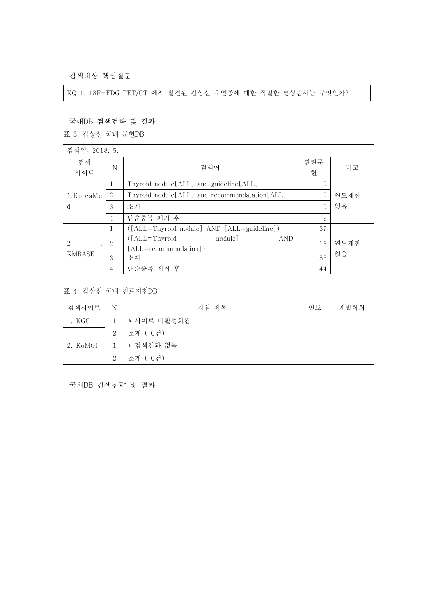검색대상 핵심질문

KQ 1. 18F-FDG PET/CT 에서 발견된 갑상선 우연종에 대한 적절한 영상검사는 무엇인가?

국내DB 검색전략 및 결과

표 3. 갑상선 국내 문헌DB

| 검색일: 2018. 5.             |                |                                                 |          |      |
|---------------------------|----------------|-------------------------------------------------|----------|------|
| 검색<br>사이트                 | N              | 검색어                                             | 관련문<br>헌 | 비고   |
| 1.KoreaMe<br><sub>d</sub> | 1              | Thyroid nodule [ALL] and guideline [ALL]        | 9        |      |
|                           | 2              | Thyroid nodule [ALL] and recommendatation [ALL] | $\Omega$ | 연도제한 |
|                           | 3              | 소계                                              | 9        | 없음   |
|                           | $\overline{4}$ | 단순중복 제거 후                                       | 9        |      |
| 2<br>KMBASE               |                | ([ALL=Thyroid nodule] AND [ALL=guideline])      | 37       |      |
|                           | $\overline{2}$ | $( [ALL = Thyroid]$<br>nodule<br><b>AND</b>     | 16       | 연도제한 |
|                           |                | [ALL=recommendation])                           |          |      |
|                           | 3              | 소계                                              | 53       | 없음   |
|                           | 4              | 단순중복 제거 후                                       | 44       |      |

## 표 4. 갑상선 국내 진료지침DB

| 검색사이트    | $\mathbb N$    | 지침 제목       | 연도 | 개발학회 |
|----------|----------------|-------------|----|------|
| 1. KGC   |                | * 사이트 비활성화됨 |    |      |
|          | 2              | 소계 (0건)     |    |      |
| 2. KoMGI | 1              | * 검색결과 없음   |    |      |
|          | $\overline{2}$ | 소계 (0건)     |    |      |

국외DB 검색전략 및 결과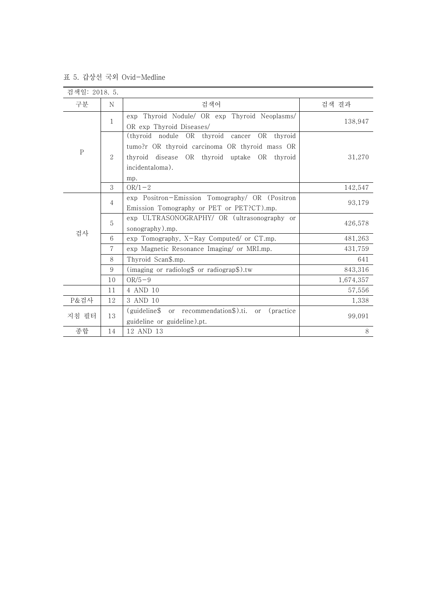## 표 5. 갑상선 국외 Ovid-Medline

| 검색일: 2018. 5. |                |                                                                                                                                                                                |           |
|---------------|----------------|--------------------------------------------------------------------------------------------------------------------------------------------------------------------------------|-----------|
| 구분            | N              | 검색어                                                                                                                                                                            | 검색 결과     |
|               | 1              | Thyroid Nodule/ OR exp Thyroid Neoplasms/<br>exp<br>OR exp Thyroid Diseases/                                                                                                   | 138,947   |
| $\mathbf P$   | $\overline{2}$ | (thyroid nodule OR thyroid<br>OR thyroid<br>cancer<br>tumo?r OR thyroid carcinoma OR thyroid mass OR<br>thyroid disease OR thyroid uptake OR thyroid<br>incidentaloma).<br>mp. | 31,270    |
|               | 3              | $OR/1-2$                                                                                                                                                                       | 142,547   |
| 검사            | $\overline{4}$ | exp Positron-Emission Tomography/ OR (Positron<br>Emission Tomography or PET or PET?CT).mp.                                                                                    | 93,179    |
|               | 5              | exp ULTRASONOGRAPHY/ OR (ultrasonography or<br>sonography).mp.                                                                                                                 | 426,578   |
|               | 6              | exp Tomography, X-Ray Computed/ or CT.mp.                                                                                                                                      | 481,263   |
|               | 7              | exp Magnetic Resonance Imaging/ or MRI.mp.                                                                                                                                     | 431,759   |
|               | 8              | Thyroid Scan\$.mp.                                                                                                                                                             | 641       |
|               | 9              | (imaging or radiolog\$ or radiograp\$).tw                                                                                                                                      | 843,316   |
|               | 10             | $OR/5-9$                                                                                                                                                                       | 1,674,357 |
|               | 11             | 4 AND 10                                                                                                                                                                       | 57,556    |
| P&검사          | 12             | 3 AND 10                                                                                                                                                                       | 1,338     |
| 지침 필터         | 13             | or recommendation\$).ti.<br>(guideline\$<br>(practice)<br><sub>or</sub><br>guideline or guideline).pt.                                                                         | 99,091    |
| 종합            | 14             | 12 AND 13                                                                                                                                                                      | $8\,$     |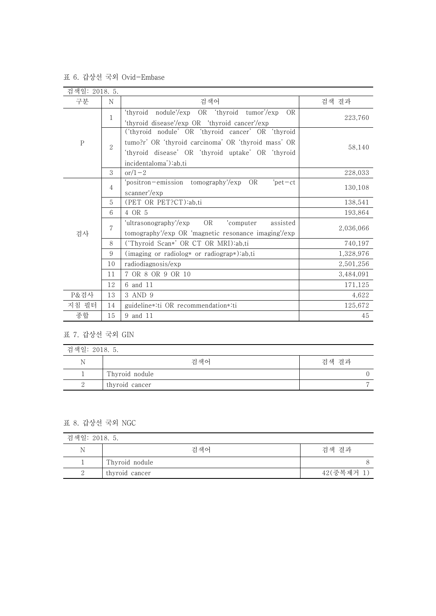| 검색일: 2018. 5. |                |                                                             |           |
|---------------|----------------|-------------------------------------------------------------|-----------|
| 구분            | N              | 검색어                                                         | 검색 결과     |
| $\rm P$       |                | 'thyroid<br>nodule'/exp OR 'thyroid<br>tumor'/exp<br>OR.    |           |
|               | 1              | 'thyroid disease'/exp OR 'thyroid cancer'/exp               | 223,760   |
|               | $\overline{2}$ | ('thyroid nodule' OR 'thyroid cancer' OR 'thyroid           |           |
|               |                | tumo?r' OR 'thyroid carcinoma' OR 'thyroid mass' OR         | 58,140    |
|               |                | 'thyroid disease' OR 'thyroid uptake' OR 'thyroid           |           |
|               |                | incidentaloma'):ab,ti                                       |           |
|               | 3              | $or/1-2$                                                    | 228,033   |
| 검사            | $\overline{4}$ | 'positron-emission tomography'/exp OR<br>$'$ pet $-ct$      | 130,108   |
|               |                | scanner'/exp                                                |           |
|               | 5              | (PET OR PET?CT):ab,ti                                       | 138,541   |
|               | 6              | 4 OR 5                                                      | 193,864   |
|               | 7              | <b>OR</b><br>'ultrasonography'/exp<br>'computer<br>assisted | 2,036,066 |
|               |                | tomography'/exp OR 'magnetic resonance imaging'/exp         |           |
|               | 8              | ('Thyroid Scan*' OR CT OR MRI):ab,ti                        | 740,197   |
|               | 9              | (imaging or radiolog* or radiograp*):ab,ti                  | 1,328,976 |
|               | 10             | radiodiagnosis/exp                                          | 2,501,256 |
|               | 11             | 7 OR 8 OR 9 OR 10                                           | 3,484,091 |
|               | 12             | 6 and 11                                                    | 171,125   |
| P&검사          | 13             | 3 AND 9                                                     | 4,622     |
| 지침 필터         | 14             | guideline*:ti OR recommendation*:ti                         | 125,672   |
| 종합            | 15             | 9 and 11                                                    | 45        |

표 6. 갑상선 국외 Ovid-Embase

## 표 7. 갑상선 국외 GIN

| 검색일: 2018. 5. |                |       |  |
|---------------|----------------|-------|--|
| Ν             | 검색어            | 검색 결과 |  |
|               | Thyroid nodule |       |  |
|               | thyroid cancer |       |  |

표 8. 갑상선 국외 NGC

| 검색일: 2018. 5. |                |            |
|---------------|----------------|------------|
| N             | 검색어            | 검색 결과      |
|               | Thyroid nodule |            |
|               | thyroid cancer | 42(중복제거 1) |